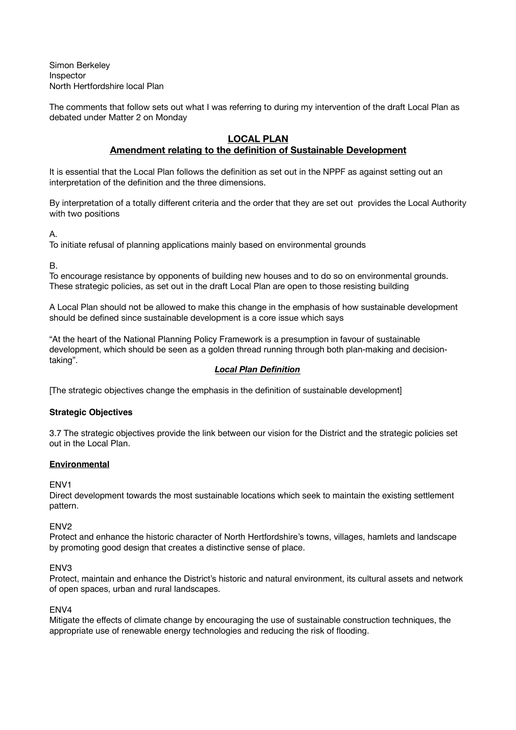Simon Berkeley Inspector North Hertfordshire local Plan

The comments that follow sets out what I was referring to during my intervention of the draft Local Plan as debated under Matter 2 on Monday

#### **LOCAL PLAN Amendment relating to the definition of Sustainable Development**

It is essential that the Local Plan follows the definition as set out in the NPPF as against setting out an interpretation of the definition and the three dimensions.

By interpretation of a totally different criteria and the order that they are set out provides the Local Authority with two positions

A.

To initiate refusal of planning applications mainly based on environmental grounds

B.

To encourage resistance by opponents of building new houses and to do so on environmental grounds. These strategic policies, as set out in the draft Local Plan are open to those resisting building

A Local Plan should not be allowed to make this change in the emphasis of how sustainable development should be defined since sustainable development is a core issue which says

"At the heart of the National Planning Policy Framework is a presumption in favour of sustainable development, which should be seen as a golden thread running through both plan-making and decisiontaking".

# *Local Plan Definition*

[The strategic objectives change the emphasis in the definition of sustainable development]

# **Strategic Objectives**

3.7 The strategic objectives provide the link between our vision for the District and the strategic policies set out in the Local Plan.

# **Environmental**

# ENV1

Direct development towards the most sustainable locations which seek to maintain the existing settlement pattern.

# ENV2

Protect and enhance the historic character of North Hertfordshire's towns, villages, hamlets and landscape by promoting good design that creates a distinctive sense of place.

# ENV3

Protect, maintain and enhance the District's historic and natural environment, its cultural assets and network of open spaces, urban and rural landscapes.

# ENV4

Mitigate the effects of climate change by encouraging the use of sustainable construction techniques, the appropriate use of renewable energy technologies and reducing the risk of flooding.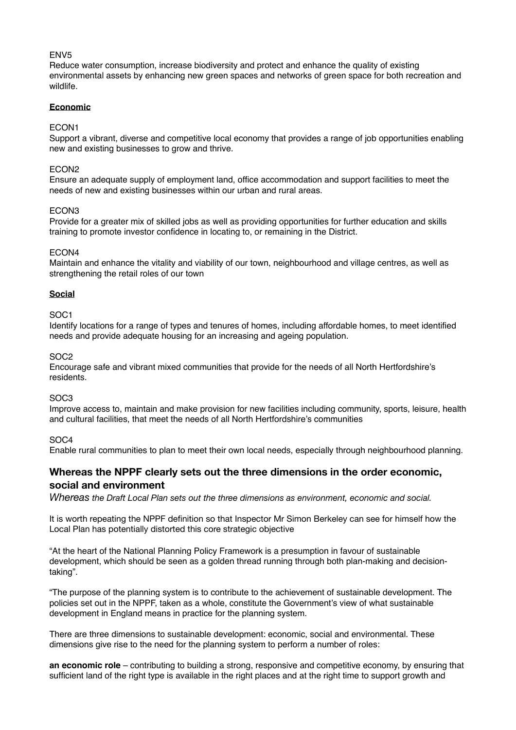# ENV5

Reduce water consumption, increase biodiversity and protect and enhance the quality of existing environmental assets by enhancing new green spaces and networks of green space for both recreation and wildlife.

#### **Economic**

#### ECON1

Support a vibrant, diverse and competitive local economy that provides a range of job opportunities enabling new and existing businesses to grow and thrive.

#### ECON2

Ensure an adequate supply of employment land, office accommodation and support facilities to meet the needs of new and existing businesses within our urban and rural areas.

#### ECON3

Provide for a greater mix of skilled jobs as well as providing opportunities for further education and skills training to promote investor confidence in locating to, or remaining in the District.

#### ECON4

Maintain and enhance the vitality and viability of our town, neighbourhood and village centres, as well as strengthening the retail roles of our town

# **Social**

#### SOC1

Identify locations for a range of types and tenures of homes, including affordable homes, to meet identified needs and provide adequate housing for an increasing and ageing population.

#### SOC2

Encourage safe and vibrant mixed communities that provide for the needs of all North Hertfordshire's residents.

# SOC3

Improve access to, maintain and make provision for new facilities including community, sports, leisure, health and cultural facilities, that meet the needs of all North Hertfordshire's communities

# SOC4

Enable rural communities to plan to meet their own local needs, especially through neighbourhood planning.

# **Whereas the NPPF clearly sets out the three dimensions in the order economic, social and environment**

*Whereas the Draft Local Plan sets out the three dimensions as environment, economic and social.* 

It is worth repeating the NPPF definition so that Inspector Mr Simon Berkeley can see for himself how the Local Plan has potentially distorted this core strategic objective

"At the heart of the National Planning Policy Framework is a presumption in favour of sustainable development, which should be seen as a golden thread running through both plan-making and decisiontaking".

"The purpose of the planning system is to contribute to the achievement of sustainable development. The policies set out in the NPPF, taken as a whole, constitute the Government's view of what sustainable development in England means in practice for the planning system.

There are three dimensions to sustainable development: economic, social and environmental. These dimensions give rise to the need for the planning system to perform a number of roles:

**an economic role** – contributing to building a strong, responsive and competitive economy, by ensuring that sufficient land of the right type is available in the right places and at the right time to support growth and